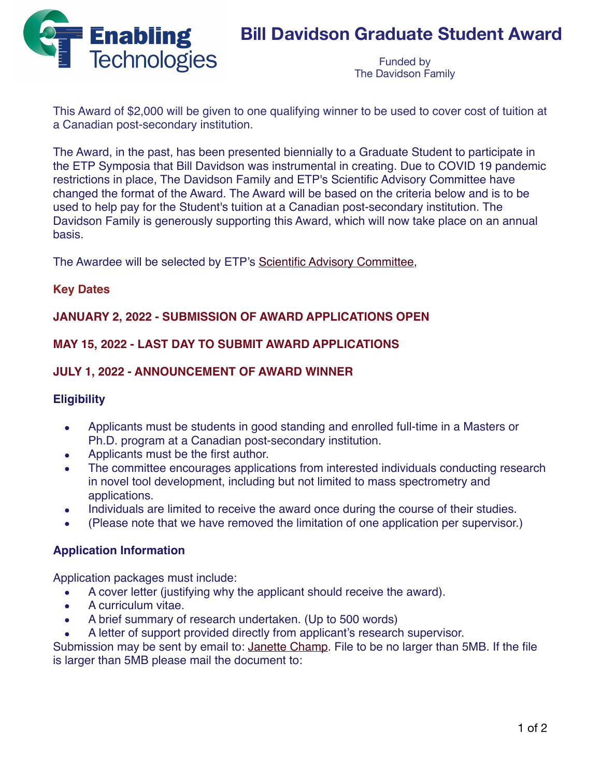

# **Bill Davidson Graduate Student Award**

Funded by The Davidson Family

This Award of \$2,000 will be given to one qualifying winner to be used to cover cost of tuition at a Canadian post-secondary institution.

The Award, in the past, has been presented biennially to a Graduate Student to participate in the ETP Symposia that Bill Davidson was instrumental in creating. Due to COVID 19 pandemic restrictions in place, The Davidson Family and ETP's Scientific Advisory Committee have changed the format of the Award. The Award will be based on the criteria below and is to be used to help pay for the Student's tuition at a Canadian post-secondary institution. The Davidson Family is generously supporting this Award, which will now take place on an annual basis.

The Awardee will be selected by ETP's [Scientific Advisory Committee,](http://127.0.0.1:64254/offsite/about/about.html) 

## **Key Dates**

## **JANUARY 2, 2022 - SUBMISSION OF AWARD APPLICATIONS OPEN**

## **MAY 15, 2022 - LAST DAY TO SUBMIT AWARD APPLICATIONS**

## **JULY 1, 2022 - ANNOUNCEMENT OF AWARD WINNER**

#### **Eligibility**

- Applicants must be students in good standing and enrolled full-time in a Masters or Ph.D. program at a Canadian post-secondary institution.
- Applicants must be the first author.
- The committee encourages applications from interested individuals conducting research in novel tool development, including but not limited to mass spectrometry and applications.
- Individuals are limited to receive the award once during the course of their studies.
- (Please note that we have removed the limitation of one application per supervisor.)

#### **Application Information**

Application packages must include:

- A cover letter (justifying why the applicant should receive the award).
- A curriculum vitae.
- A brief summary of research undertaken. (Up to 500 words)
- A letter of support provided directly from applicant's research supervisor.

Submission may be sent by email to: *[Janette Champ](mailto:janette@etpsymposium.org?subject=Davidson%20Award%20Inquiry)*. File to be no larger than 5MB. If the file is larger than 5MB please mail the document to: